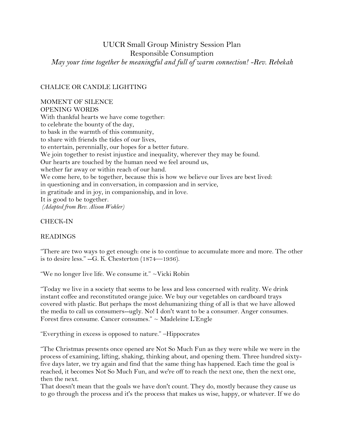# UUCR Small Group Ministry Session Plan Responsible Consumption *May your time together be meaningful and full of warm connection! -Rev. Rebekah*

#### CHALICE OR CANDLE LIGHTING

#### MOMENT OF SILENCE OPENING WORDS

With thankful hearts we have come together: to celebrate the bounty of the day, to bask in the warmth of this community, to share with friends the tides of our lives, to entertain, perennially, our hopes for a better future. We join together to resist injustice and inequality, wherever they may be found. Our hearts are touched by the human need we feel around us, whether far away or within reach of our hand. We come here, to be together, because this is how we believe our lives are best lived: in questioning and in conversation, in compassion and in service, in gratitude and in joy, in companionship, and in love. It is good to be together. *(Adapted from Rev. Alison Wohler)*

#### CHECK-IN

#### READINGS

"There are two ways to get enough: one is to continue to accumulate more and more. The other is to desire less."  $-G. K.$  Chesterton  $(1874 - 1936)$ .

"We no longer live life. We consume it." ~Vicki Robin

"Today we live in a society that seems to be less and less concerned with reality. We drink instant coffee and reconstituted orange juice. We buy our vegetables on cardboard trays covered with plastic. But perhaps the most dehumanizing thing of all is that we have allowed the media to call us consumers--ugly. No! I don't want to be a consumer. Anger consumes. Forest fires consume. Cancer consumes." ~ Madeleine L'Engle

"Everything in excess is opposed to nature." –Hippocrates

"The Christmas presents once opened are Not So Much Fun as they were while we were in the process of examining, lifting, shaking, thinking about, and opening them. Three hundred sixtyfive days later, we try again and find that the same thing has happened. Each time the goal is reached, it becomes Not So Much Fun, and we're off to reach the next one, then the next one, then the next.

That doesn't mean that the goals we have don't count. They do, mostly because they cause us to go through the process and it's the process that makes us wise, happy, or whatever. If we do